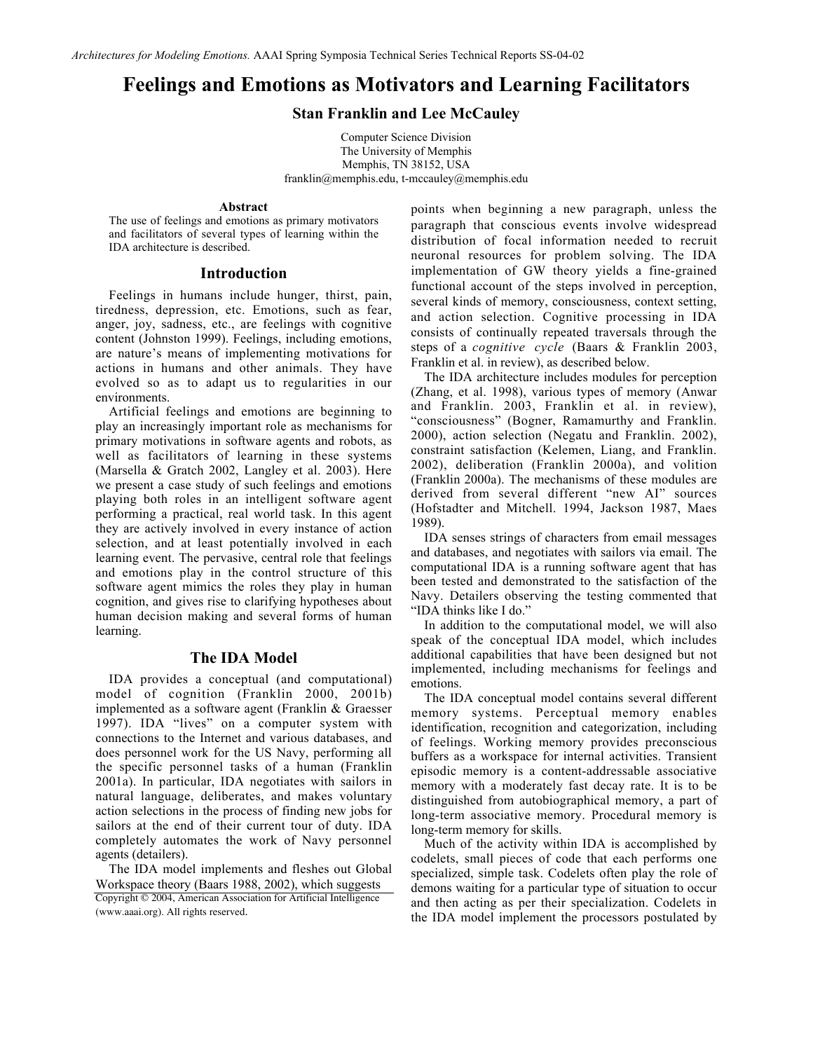# Feelings and Emotions as Motivators and Learning Facilitators

# Stan Franklin and Lee McCauley

Computer Science Division The University of Memphis Memphis, TN 38152, USA franklin@memphis.edu, t-mccauley@memphis.edu

#### Abstract

The use of feelings and emotions as primary motivators and facilitators of several types of learning within the IDA architecture is described.

## Introduction

Feelings in humans include hunger, thirst, pain, tiredness, depression, etc. Emotions, such as fear, anger, joy, sadness, etc., are feelings with cognitive content (Johnston 1999). Feelings, including emotions, are nature's means of implementing motivations for actions in humans and other animals. They have evolved so as to adapt us to regularities in our environments.

Artificial feelings and emotions are beginning to play an increasingly important role as mechanisms for primary motivations in software agents and robots, as well as facilitators of learning in these systems (Marsella & Gratch 2002, Langley et al. 2003). Here we present a case study of such feelings and emotions playing both roles in an intelligent software agent performing a practical, real world task. In this agent they are actively involved in every instance of action selection, and at least potentially involved in each learning event. The pervasive, central role that feelings and emotions play in the control structure of this software agent mimics the roles they play in human cognition, and gives rise to clarifying hypotheses about human decision making and several forms of human learning.

## The IDA Model

IDA provides a conceptual (and computational) model of cognition (Franklin 2000, 2001b) implemented as a software agent (Franklin & Graesser 1997). IDA "lives" on a computer system with connections to the Internet and various databases, and does personnel work for the US Navy, performing all the specific personnel tasks of a human (Franklin 2001a). In particular, IDA negotiates with sailors in natural language, deliberates, and makes voluntary action selections in the process of finding new jobs for sailors at the end of their current tour of duty. IDA completely automates the work of Navy personnel agents (detailers).

The IDA model implements and fleshes out Global Workspace theory (Baars 1988, 2002), which suggests

Copyright © 2004, American Association for Artificial Intelligence (www.aaai.org). All rights reserved.

points when beginning a new paragraph, unless the paragraph that conscious events involve widespread distribution of focal information needed to recruit neuronal resources for problem solving. The IDA implementation of GW theory yields a fine-grained functional account of the steps involved in perception, several kinds of memory, consciousness, context setting, and action selection. Cognitive processing in IDA consists of continually repeated traversals through the steps of a *cognitive cycle* (Baars & Franklin 2003, Franklin et al. in review), as described below.

The IDA architecture includes modules for perception (Zhang, et al. 1998), various types of memory (Anwar and Franklin. 2003, Franklin et al. in review), "consciousness" (Bogner, Ramamurthy and Franklin. 2000), action selection (Negatu and Franklin. 2002), constraint satisfaction (Kelemen, Liang, and Franklin. 2002), deliberation (Franklin 2000a), and volition (Franklin 2000a). The mechanisms of these modules are derived from several different "new AI" sources (Hofstadter and Mitchell. 1994, Jackson 1987, Maes 1989).

IDA senses strings of characters from email messages and databases, and negotiates with sailors via email. The computational IDA is a running software agent that has been tested and demonstrated to the satisfaction of the Navy. Detailers observing the testing commented that "IDA thinks like I do."

In addition to the computational model, we will also speak of the conceptual IDA model, which includes additional capabilities that have been designed but not implemented, including mechanisms for feelings and emotions.

The IDA conceptual model contains several different memory systems. Perceptual memory enables identification, recognition and categorization, including of feelings. Working memory provides preconscious buffers as a workspace for internal activities. Transient episodic memory is a content-addressable associative memory with a moderately fast decay rate. It is to be distinguished from autobiographical memory, a part of long-term associative memory. Procedural memory is long-term memory for skills.

Much of the activity within IDA is accomplished by codelets, small pieces of code that each performs one specialized, simple task. Codelets often play the role of demons waiting for a particular type of situation to occur and then acting as per their specialization. Codelets in the IDA model implement the processors postulated by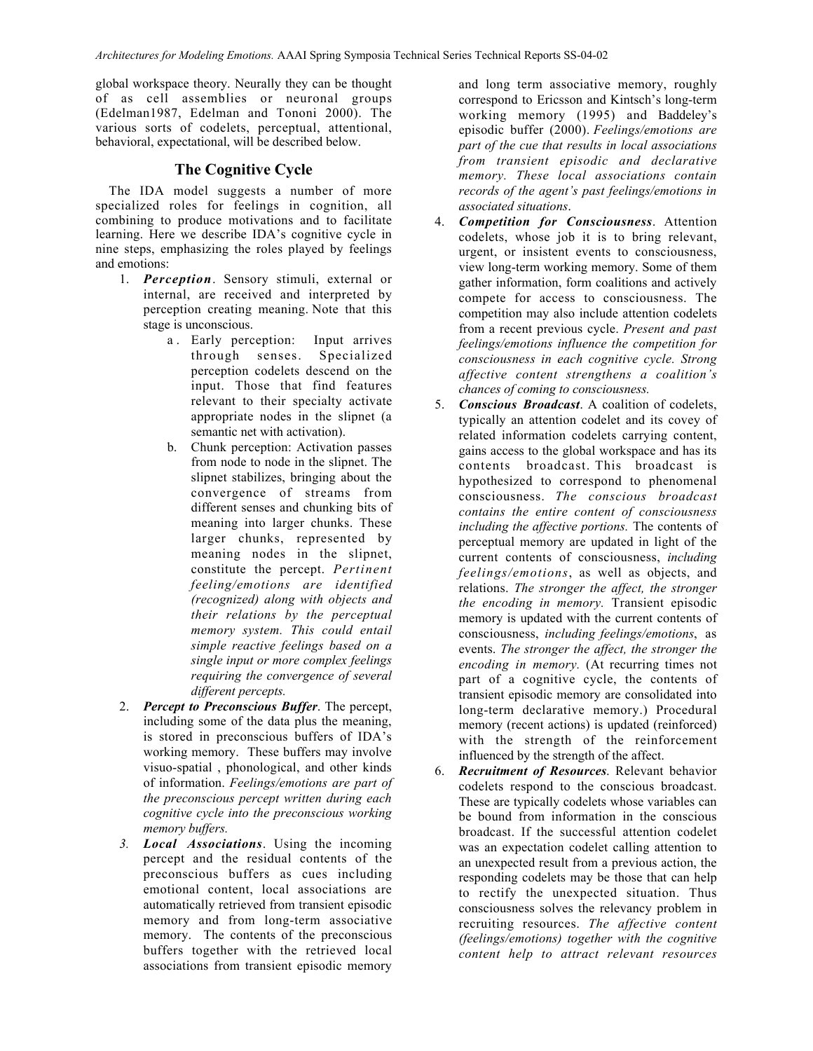global workspace theory. Neurally they can be thought of as cell assemblies or neuronal groups (Edelman1987, Edelman and Tononi 2000). The various sorts of codelets, perceptual, attentional, behavioral, expectational, will be described below.

# The Cognitive Cycle

The IDA model suggests a number of more specialized roles for feelings in cognition, all combining to produce motivations and to facilitate learning. Here we describe IDA's cognitive cycle in nine steps, emphasizing the roles played by feelings and emotions:

- 1. *Perception*. Sensory stimuli, external or internal, are received and interpreted by perception creating meaning. Note that this stage is unconscious.
	- a . Early perception: Input arrives through senses. Specialized perception codelets descend on the input. Those that find features relevant to their specialty activate appropriate nodes in the slipnet (a semantic net with activation).
	- b. Chunk perception: Activation passes from node to node in the slipnet. The slipnet stabilizes, bringing about the convergence of streams from different senses and chunking bits of meaning into larger chunks. These larger chunks, represented by meaning nodes in the slipnet, constitute the percept. *Pertinent feeling/emotions are identified (recognized) along with objects and their relations by the perceptual memory system. This could entail simple reactive feelings based on a single input or more complex feelings requiring the convergence of several different percepts.*
- 2. *Percept to Preconscious Buffer*. The percept, including some of the data plus the meaning, is stored in preconscious buffers of IDA's working memory. These buffers may involve visuo-spatial , phonological, and other kinds of information. *Feelings/emotions are part of the preconscious percept written during each cognitive cycle into the preconscious working memory buffers.*
- *3. Local Associations*. Using the incoming percept and the residual contents of the preconscious buffers as cues including emotional content, local associations are automatically retrieved from transient episodic memory and from long-term associative memory. The contents of the preconscious buffers together with the retrieved local associations from transient episodic memory

and long term associative memory, roughly correspond to Ericsson and Kintsch's long-term working memory (1995) and Baddeley's episodic buffer (2000). *Feelings/emotions are part of the cue that results in local associations from transient episodic and declarative memory. These local associations contain records of the agent's past feelings/emotions in associated situations*.

- 4. *Competition for Consciousness*. Attention codelets, whose job it is to bring relevant, urgent, or insistent events to consciousness, view long-term working memory. Some of them gather information, form coalitions and actively compete for access to consciousness. The competition may also include attention codelets from a recent previous cycle. *Present and past feelings/emotions influence the competition for consciousness in each cognitive cycle. Strong affective content strengthens a coalition's chances of coming to consciousness.*
- 5. *Conscious Broadcast*. A coalition of codelets, typically an attention codelet and its covey of related information codelets carrying content, gains access to the global workspace and has its contents broadcast. This broadcast is hypothesized to correspond to phenomenal consciousness. *The conscious broadcast contains the entire content of consciousness including the affective portions.* The contents of perceptual memory are updated in light of the current contents of consciousness, *including feelings/emotions*, as well as objects, and relations. *The stronger the affect, the stronger the encoding in memory.* Transient episodic memory is updated with the current contents of consciousness, *including feelings/emotions*, as events. *The stronger the affect, the stronger the encoding in memory.* (At recurring times not part of a cognitive cycle, the contents of transient episodic memory are consolidated into long-term declarative memory.) Procedural memory (recent actions) is updated (reinforced) with the strength of the reinforcement influenced by the strength of the affect.
- 6. *Recruitment of Resources*. Relevant behavior codelets respond to the conscious broadcast. These are typically codelets whose variables can be bound from information in the conscious broadcast. If the successful attention codelet was an expectation codelet calling attention to an unexpected result from a previous action, the responding codelets may be those that can help to rectify the unexpected situation. Thus consciousness solves the relevancy problem in recruiting resources. *The affective content (feelings/emotions) together with the cognitive content help to attract relevant resources*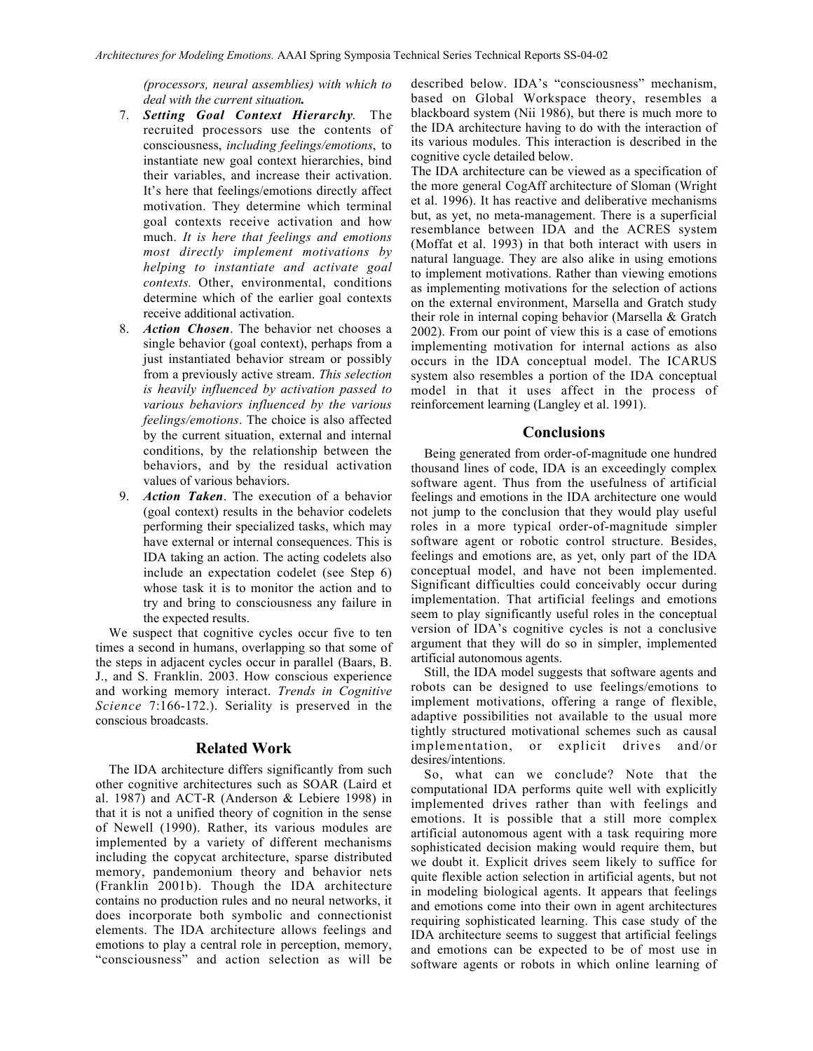*(processors, neural assemblies) with which to deal with the current situation.*

- 7. *Setting Goal Context Hierarchy*. The recruited processors use the contents of consciousness, *including feelings/emotions*, to instantiate new goal context hierarchies, bind their variables, and increase their activation. It's here that feelings/emotions directly affect motivation. They determine which terminal goal contexts receive activation and how much. *It is here that feelings and emotions most directly implement motivations by helping to instantiate and activate goal contexts.* Other, environmental, conditions determine which of the earlier goal contexts receive additional activation.
- 8. *Action Chosen*. The behavior net chooses a single behavior (goal context), perhaps from a just instantiated behavior stream or possibly from a previously active stream. *This selection is heavily influenced by activation passed to various behaviors influenced by the various feelings/emotions*. The choice is also affected by the current situation, external and internal conditions, by the relationship between the behaviors, and by the residual activation values of various behaviors.
- 9. *Action Taken*. The execution of a behavior (goal context) results in the behavior codelets performing their specialized tasks, which may have external or internal consequences. This is IDA taking an action. The acting codelets also include an expectation codelet (see Step 6) whose task it is to monitor the action and to try and bring to consciousness any failure in the expected results.

We suspect that cognitive cycles occur five to ten times a second in humans, overlapping so that some of the steps in adjacent cycles occur in parallel (Baars, B. J., and S. Franklin. 2003. How conscious experience and working memory interact. *Trends in Cognitive Science* 7:166-172.). Seriality is preserved in the conscious broadcasts.

## Related Work

The IDA architecture differs significantly from such other cognitive architectures such as SOAR (Laird et al. 1987) and ACT-R (Anderson & Lebiere 1998) in that it is not a unified theory of cognition in the sense of Newell (1990). Rather, its various modules are implemented by a variety of different mechanisms including the copycat architecture, sparse distributed memory, pandemonium theory and behavior nets (Franklin 2001b). Though the IDA architecture contains no production rules and no neural networks, it does incorporate both symbolic and connectionist elements. The IDA architecture allows feelings and emotions to play a central role in perception, memory, "consciousness" and action selection as will be

described below. IDA's "consciousness" mechanism, based on Global Workspace theory, resembles a blackboard system (Nii 1986), but there is much more to the IDA architecture having to do with the interaction of its various modules. This interaction is described in the cognitive cycle detailed below.

The IDA architecture can be viewed as a specification of the more general CogAff architecture of Sloman (Wright et al. 1996). It has reactive and deliberative mechanisms but, as yet, no meta-management. There is a superficial resemblance between IDA and the ACRES system (Moffat et al. 1993) in that both interact with users in natural language. They are also alike in using emotions to implement motivations. Rather than viewing emotions as implementing motivations for the selection of actions on the external environment, Marsella and Gratch study their role in internal coping behavior (Marsella & Gratch 2002). From our point of view this is a case of emotions implementing motivation for internal actions as also occurs in the IDA conceptual model. The ICARUS system also resembles a portion of the IDA conceptual model in that it uses affect in the process of reinforcement learning (Langley et al. 1991).

#### Conclusions

Being generated from order-of-magnitude one hundred thousand lines of code, IDA is an exceedingly complex software agent. Thus from the usefulness of artificial feelings and emotions in the IDA architecture one would not jump to the conclusion that they would play useful roles in a more typical order-of-magnitude simpler software agent or robotic control structure. Besides, feelings and emotions are, as yet, only part of the IDA conceptual model, and have not been implemented. Significant difficulties could conceivably occur during implementation. That artificial feelings and emotions seem to play significantly useful roles in the conceptual version of IDA's cognitive cycles is not a conclusive argument that they will do so in simpler, implemented artificial autonomous agents.

Still, the IDA model suggests that software agents and robots can be designed to use feelings/emotions to implement motivations, offering a range of flexible, adaptive possibilities not available to the usual more tightly structured motivational schemes such as causal implementation, or explicit drives and/or desires/intentions.

So, what can we conclude? Note that the computational IDA performs quite well with explicitly implemented drives rather than with feelings and emotions. It is possible that a still more complex artificial autonomous agent with a task requiring more sophisticated decision making would require them, but we doubt it. Explicit drives seem likely to suffice for quite flexible action selection in artificial agents, but not in modeling biological agents. It appears that feelings and emotions come into their own in agent architectures requiring sophisticated learning. This case study of the IDA architecture seems to suggest that artificial feelings and emotions can be expected to be of most use in software agents or robots in which online learning of